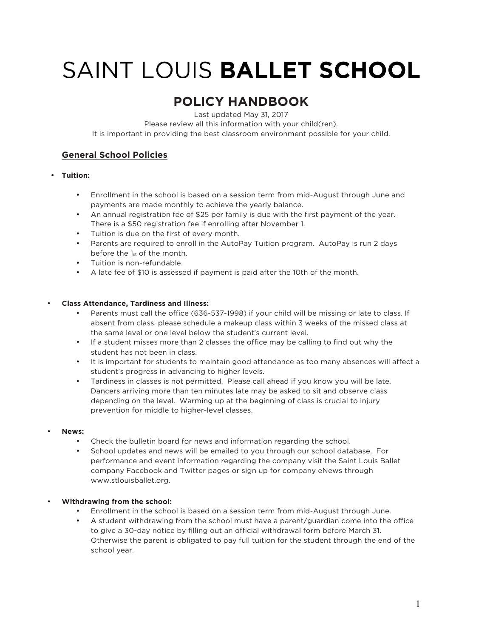# SAINT LOUIS BALLET SCHOOL

# **POLICY HANDBOOK**

Last updated May 31, 2017

Please review all this information with your child(ren).

It is important in providing the best classroom environment possible for your child.

# **General School Policies**

#### • **Tuition:**

- Enrollment in the school is based on a session term from mid-August through June and payments are made monthly to achieve the yearly balance.
- An annual registration fee of \$25 per family is due with the first payment of the year. There is a \$50 registration fee if enrolling after November 1.
- Tuition is due on the first of every month.
- Parents are required to enroll in the AutoPay Tuition program. AutoPay is run 2 days before the 1st of the month.
- Tuition is non-refundable.
- A late fee of \$10 is assessed if payment is paid after the 10th of the month.

#### • **Class Attendance, Tardiness and Illness:**

- Parents must call the office (636-537-1998) if your child will be missing or late to class. If absent from class, please schedule a makeup class within 3 weeks of the missed class at the same level or one level below the student's current level.
- If a student misses more than 2 classes the office may be calling to find out why the student has not been in class.
- It is important for students to maintain good attendance as too many absences will affect a student's progress in advancing to higher levels.
- Tardiness in classes is not permitted. Please call ahead if you know you will be late. Dancers arriving more than ten minutes late may be asked to sit and observe class depending on the level. Warming up at the beginning of class is crucial to injury prevention for middle to higher-level classes.

#### • **News:**

- Check the bulletin board for news and information regarding the school.
- School updates and news will be emailed to you through our school database. For performance and event information regarding the company visit the Saint Louis Ballet company Facebook and Twitter pages or sign up for company eNews through www.stlouisballet.org.

#### • **Withdrawing from the school:**

- Enrollment in the school is based on a session term from mid-August through June.
- A student withdrawing from the school must have a parent/guardian come into the office to give a 30-day notice by filling out an official withdrawal form before March 31. Otherwise the parent is obligated to pay full tuition for the student through the end of the school year.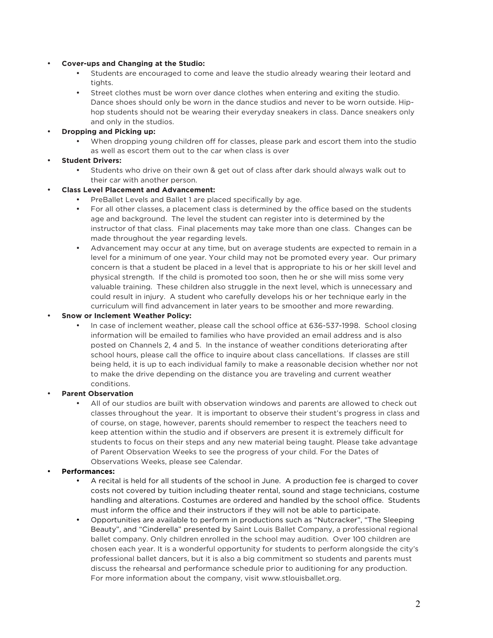#### • **Cover-ups and Changing at the Studio:**

- Students are encouraged to come and leave the studio already wearing their leotard and tights.
- Street clothes must be worn over dance clothes when entering and exiting the studio. Dance shoes should only be worn in the dance studios and never to be worn outside. Hiphop students should not be wearing their everyday sneakers in class. Dance sneakers only and only in the studios.

#### • **Dropping and Picking up:**

• When dropping young children off for classes, please park and escort them into the studio as well as escort them out to the car when class is over

### • **Student Drivers:**

• Students who drive on their own & get out of class after dark should always walk out to their car with another person.

#### • **Class Level Placement and Advancement:**

- PreBallet Levels and Ballet 1 are placed specifically by age.
- For all other classes, a placement class is determined by the office based on the students age and background. The level the student can register into is determined by the instructor of that class. Final placements may take more than one class. Changes can be made throughout the year regarding levels.
- Advancement may occur at any time, but on average students are expected to remain in a level for a minimum of one year. Your child may not be promoted every year. Our primary concern is that a student be placed in a level that is appropriate to his or her skill level and physical strength. If the child is promoted too soon, then he or she will miss some very valuable training. These children also struggle in the next level, which is unnecessary and could result in injury. A student who carefully develops his or her technique early in the curriculum will find advancement in later years to be smoother and more rewarding.

#### • **Snow or Inclement Weather Policy:**

• In case of inclement weather, please call the school office at 636-537-1998. School closing information will be emailed to families who have provided an email address and is also posted on Channels 2, 4 and 5. In the instance of weather conditions deteriorating after school hours, please call the office to inquire about class cancellations. If classes are still being held, it is up to each individual family to make a reasonable decision whether nor not to make the drive depending on the distance you are traveling and current weather conditions.

#### • **Parent Observation**

• All of our studios are built with observation windows and parents are allowed to check out classes throughout the year. It is important to observe their student's progress in class and of course, on stage, however, parents should remember to respect the teachers need to keep attention within the studio and if observers are present it is extremely difficult for students to focus on their steps and any new material being taught. Please take advantage of Parent Observation Weeks to see the progress of your child. For the Dates of Observations Weeks, please see Calendar.

#### • **Performances:**

- A recital is held for all students of the school in June. A production fee is charged to cover costs not covered by tuition including theater rental, sound and stage technicians, costume handling and alterations. Costumes are ordered and handled by the school office. Students must inform the office and their instructors if they will not be able to participate.
- Opportunities are available to perform in productions such as "Nutcracker", "The Sleeping Beauty", and "Cinderella" presented by Saint Louis Ballet Company, a professional regional ballet company. Only children enrolled in the school may audition. Over 100 children are chosen each year. It is a wonderful opportunity for students to perform alongside the city's professional ballet dancers, but it is also a big commitment so students and parents must discuss the rehearsal and performance schedule prior to auditioning for any production. For more information about the company, visit www.stlouisballet.org.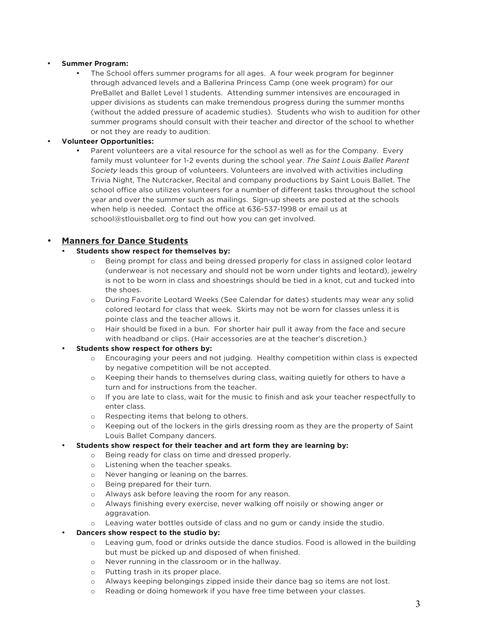#### • **Summer Program:**

The School offers summer programs for all ages. A four week program for beginner through advanced levels and a Ballerina Princess Camp (one week program) for our PreBallet and Ballet Level 1 students. Attending summer intensives are encouraged in upper divisions as students can make tremendous progress during the summer months (without the added pressure of academic studies). Students who wish to audition for other summer programs should consult with their teacher and director of the school to whether or not they are ready to audition.

#### • **Volunteer Opportunities:**

Parent volunteers are a vital resource for the school as well as for the Company. Every family must volunteer for 1-2 events during the school year. *The Saint Louis Ballet Parent Society* leads this group of volunteers. Volunteers are involved with activities including Trivia Night, The Nutcracker, Recital and company productions by Saint Louis Ballet. The school office also utilizes volunteers for a number of different tasks throughout the school year and over the summer such as mailings. Sign-up sheets are posted at the schools when help is needed. Contact the office at 636-537-1998 or email us at school@stlouisballet.org to find out how you can get involved.

## • **Manners for Dance Students**

#### • **Students show respect for themselves by:**

- Being prompt for class and being dressed properly for class in assigned color leotard (underwear is not necessary and should not be worn under tights and leotard), jewelry is not to be worn in class and shoestrings should be tied in a knot, cut and tucked into the shoes.
- o During Favorite Leotard Weeks (See Calendar for dates) students may wear any solid colored leotard for class that week. Skirts may not be worn for classes unless it is pointe class and the teacher allows it.
- o Hair should be fixed in a bun. For shorter hair pull it away from the face and secure with headband or clips. (Hair accessories are at the teacher's discretion.)

#### • **Students show respect for others by:**

- o Encouraging your peers and not judging. Healthy competition within class is expected by negative competition will be not accepted.
- o Keeping their hands to themselves during class, waiting quietly for others to have a turn and for instructions from the teacher.
- o If you are late to class, wait for the music to finish and ask your teacher respectfully to enter class.
- o Respecting items that belong to others.
- o Keeping out of the lockers in the girls dressing room as they are the property of Saint Louis Ballet Company dancers.

#### • **Students show respect for their teacher and art form they are learning by:**

- o Being ready for class on time and dressed properly.
- o Listening when the teacher speaks.
- o Never hanging or leaning on the barres.
- o Being prepared for their turn.
- o Always ask before leaving the room for any reason.
- o Always finishing every exercise, never walking off noisily or showing anger or aggravation.
- Leaving water bottles outside of class and no gum or candy inside the studio.

#### • **Dancers show respect to the studio by:**

- o Leaving gum, food or drinks outside the dance studios. Food is allowed in the building but must be picked up and disposed of when finished.
- o Never running in the classroom or in the hallway.
- o Putting trash in its proper place.
- o Always keeping belongings zipped inside their dance bag so items are not lost.
- Reading or doing homework if you have free time between your classes.